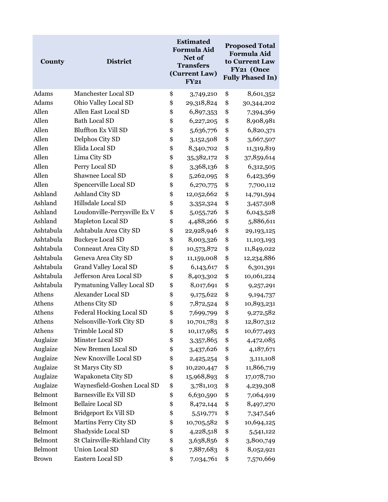| County       | <b>District</b>                 | <b>Estimated</b><br><b>Formula Aid</b><br>Net of<br><b>Transfers</b><br>(Current Law)<br><b>FY21</b> |            | <b>Proposed Total</b><br><b>Formula Aid</b><br>to Current Law<br>FY21 (Once<br><b>Fully Phased In)</b> |            |
|--------------|---------------------------------|------------------------------------------------------------------------------------------------------|------------|--------------------------------------------------------------------------------------------------------|------------|
| Adams        | Manchester Local SD             | \$                                                                                                   | 3,749,210  | \$                                                                                                     | 8,601,352  |
| Adams        | Ohio Valley Local SD            | \$                                                                                                   | 29,318,824 | \$                                                                                                     | 30,344,202 |
| Allen        | Allen East Local SD             | \$                                                                                                   | 6,897,353  | \$                                                                                                     | 7,394,369  |
| Allen        | <b>Bath Local SD</b>            | \$                                                                                                   | 6,227,205  | \$                                                                                                     | 8,908,981  |
| Allen        | <b>Bluffton Ex Vill SD</b>      | \$                                                                                                   | 5,636,776  | \$                                                                                                     | 6,820,371  |
| Allen        | Delphos City SD                 | \$                                                                                                   | 3,152,508  | \$                                                                                                     | 3,667,507  |
| Allen        | Elida Local SD                  | \$                                                                                                   | 8,340,702  | \$                                                                                                     | 11,319,819 |
| Allen        | Lima City SD                    | \$                                                                                                   | 35,382,172 | \$                                                                                                     | 37,859,614 |
| Allen        | Perry Local SD                  | \$                                                                                                   | 3,368,136  | \$                                                                                                     | 6,312,505  |
| Allen        | Shawnee Local SD                | \$                                                                                                   | 5,262,095  | \$                                                                                                     | 6,423,369  |
| Allen        | Spencerville Local SD           | \$                                                                                                   | 6,270,775  | \$                                                                                                     | 7,700,112  |
| Ashland      | Ashland City SD                 | \$                                                                                                   | 12,052,662 | \$                                                                                                     | 14,791,594 |
| Ashland      | Hillsdale Local SD              | \$                                                                                                   | 3,352,324  | \$                                                                                                     | 3,457,508  |
| Ashland      | Loudonville-Perrysville Ex V    | \$                                                                                                   | 5,055,726  | \$                                                                                                     | 6,043,528  |
| Ashland      | Mapleton Local SD               | \$                                                                                                   | 4,488,266  | \$                                                                                                     | 5,886,611  |
| Ashtabula    | Ashtabula Area City SD          | \$                                                                                                   | 22,928,946 | \$                                                                                                     | 29,193,125 |
| Ashtabula    | <b>Buckeye Local SD</b>         | \$                                                                                                   | 8,003,326  | \$                                                                                                     | 11,103,193 |
| Ashtabula    | Conneaut Area City SD           | \$                                                                                                   | 10,573,872 | \$                                                                                                     | 11,849,022 |
| Ashtabula    | Geneva Area City SD             | \$                                                                                                   | 11,159,008 | \$                                                                                                     | 12,234,886 |
| Ashtabula    | <b>Grand Valley Local SD</b>    | \$                                                                                                   | 6,143,617  | \$                                                                                                     | 6,301,391  |
| Ashtabula    | Jefferson Area Local SD         | \$                                                                                                   | 8,403,302  | \$                                                                                                     | 10,061,224 |
| Ashtabula    | Pymatuning Valley Local SD      | \$                                                                                                   | 8,017,691  | \$                                                                                                     | 9,257,291  |
| Athens       | Alexander Local SD              | \$                                                                                                   | 9,175,622  | \$                                                                                                     | 9,194,737  |
| Athens       | Athens City SD                  | \$                                                                                                   | 7,872,524  | \$                                                                                                     | 10,893,231 |
| Athens       | <b>Federal Hocking Local SD</b> | \$                                                                                                   | 7,699,799  | \$                                                                                                     | 9,272,582  |
| Athens       | Nelsonville-York City SD        | \$                                                                                                   | 10,701,783 | \$                                                                                                     | 12,807,312 |
| Athens       | Trimble Local SD                | \$                                                                                                   | 10,117,985 | \$                                                                                                     | 10,677,493 |
| Auglaize     | Minster Local SD                | \$                                                                                                   | 3,357,865  | \$                                                                                                     | 4,472,085  |
| Auglaize     | New Bremen Local SD             | \$                                                                                                   | 3,437,626  | \$                                                                                                     | 4,187,671  |
| Auglaize     | New Knoxville Local SD          | \$                                                                                                   | 2,425,254  | \$                                                                                                     | 3,111,108  |
| Auglaize     | St Marys City SD                | \$                                                                                                   | 10,220,447 | \$                                                                                                     | 11,866,719 |
| Auglaize     | Wapakoneta City SD              | \$                                                                                                   | 15,968,893 | \$                                                                                                     | 17,078,710 |
| Auglaize     | Waynesfield-Goshen Local SD     | \$                                                                                                   | 3,781,103  | \$                                                                                                     | 4,239,308  |
| Belmont      | <b>Barnesville Ex Vill SD</b>   | \$                                                                                                   | 6,630,590  | \$                                                                                                     | 7,064,919  |
| Belmont      | <b>Bellaire Local SD</b>        | \$                                                                                                   | 8,472,144  | \$                                                                                                     | 8,497,270  |
| Belmont      | Bridgeport Ex Vill SD           | \$                                                                                                   | 5,519,771  | \$                                                                                                     | 7,347,546  |
| Belmont      | Martins Ferry City SD           | \$                                                                                                   | 10,705,582 | \$                                                                                                     | 10,694,125 |
| Belmont      | Shadyside Local SD              | \$                                                                                                   | 4,228,518  | \$                                                                                                     | 5,541,122  |
| Belmont      | St Clairsville-Richland City    | \$                                                                                                   | 3,638,856  | \$                                                                                                     | 3,800,749  |
| Belmont      | Union Local SD                  | \$                                                                                                   | 7,887,683  | \$                                                                                                     | 8,052,921  |
| <b>Brown</b> | Eastern Local SD                | \$                                                                                                   | 7,034,761  | \$                                                                                                     | 7,570,669  |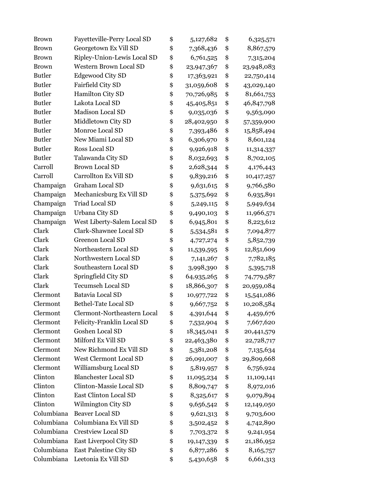| <b>Brown</b>  | Fayetteville-Perry Local SD   | \$<br>5,127,682  | \$<br>6,325,571  |
|---------------|-------------------------------|------------------|------------------|
| <b>Brown</b>  | Georgetown Ex Vill SD         | \$<br>7,368,436  | \$<br>8,867,579  |
| <b>Brown</b>  | Ripley-Union-Lewis Local SD   | \$<br>6,761,525  | \$<br>7,315,204  |
| <b>Brown</b>  | <b>Western Brown Local SD</b> | \$<br>23,947,367 | \$<br>23,948,083 |
| <b>Butler</b> | <b>Edgewood City SD</b>       | \$<br>17,363,921 | \$<br>22,750,414 |
| <b>Butler</b> | Fairfield City SD             | \$<br>31,059,608 | \$<br>43,029,140 |
| <b>Butler</b> | Hamilton City SD              | \$<br>70,726,985 | \$<br>81,661,753 |
| <b>Butler</b> | Lakota Local SD               | \$<br>45,405,851 | \$<br>46,847,798 |
| <b>Butler</b> | Madison Local SD              | \$<br>9,035,036  | \$<br>9,563,090  |
| <b>Butler</b> | Middletown City SD            | \$<br>28,402,950 | \$<br>57,359,900 |
| <b>Butler</b> | Monroe Local SD               | \$<br>7,393,486  | \$<br>15,858,494 |
| <b>Butler</b> | New Miami Local SD            | \$<br>6,306,970  | \$<br>8,601,124  |
| <b>Butler</b> | Ross Local SD                 | \$<br>9,926,918  | \$<br>11,314,337 |
| <b>Butler</b> | Talawanda City SD             | \$<br>8,032,693  | \$<br>8,702,105  |
| Carroll       | <b>Brown Local SD</b>         | \$<br>2,628,344  | \$<br>4,176,443  |
| Carroll       | Carrollton Ex Vill SD         | \$<br>9,839,216  | \$<br>10,417,257 |
| Champaign     | <b>Graham Local SD</b>        | \$<br>9,631,615  | \$<br>9,766,580  |
| Champaign     | Mechanicsburg Ex Vill SD      | \$<br>5,375,692  | \$<br>6,935,891  |
| Champaign     | <b>Triad Local SD</b>         | \$<br>5,249,115  | \$<br>5,949,634  |
| Champaign     | Urbana City SD                | \$<br>9,490,103  | \$<br>11,966,571 |
| Champaign     | West Liberty-Salem Local SD   | \$<br>6,945,801  | \$<br>8,223,612  |
| Clark         | Clark-Shawnee Local SD        | \$<br>5,534,581  | \$<br>7,094,877  |
| Clark         | <b>Greenon Local SD</b>       | \$<br>4,727,274  | \$<br>5,852,739  |
| Clark         | Northeastern Local SD         | \$<br>11,539,595 | \$<br>12,851,609 |
| Clark         | Northwestern Local SD         | \$<br>7,141,267  | \$<br>7,782,185  |
| Clark         | Southeastern Local SD         | \$<br>3,998,390  | \$<br>5,395,718  |
| Clark         | Springfield City SD           | \$<br>64,935,265 | \$<br>74,779,587 |
| Clark         | <b>Tecumseh Local SD</b>      | \$<br>18,866,307 | \$<br>20,959,084 |
| Clermont      | Batavia Local SD              | \$<br>10,977,722 | \$<br>15,541,086 |
| Clermont      | Bethel-Tate Local SD          | \$<br>9,667,752  | \$<br>10,208,584 |
| Clermont      | Clermont-Northeastern Local   | \$<br>4,391,644  | \$<br>4,459,676  |
| Clermont      | Felicity-Franklin Local SD    | \$<br>7,532,904  | \$<br>7,667,620  |
| Clermont      | Goshen Local SD               | \$<br>18,345,041 | \$<br>20,441,579 |
| Clermont      | Milford Ex Vill SD            | \$<br>22,463,380 | \$<br>22,728,717 |
| Clermont      | New Richmond Ex Vill SD       | \$<br>5,381,208  | \$<br>7,135,634  |
| Clermont      | West Clermont Local SD        | \$<br>26,091,007 | \$<br>29,809,668 |
| Clermont      | Williamsburg Local SD         | \$<br>5,819,957  | \$<br>6,756,924  |
| Clinton       | <b>Blanchester Local SD</b>   | \$<br>11,095,234 | \$<br>11,109,141 |
| Clinton       | Clinton-Massie Local SD       | \$<br>8,809,747  | \$<br>8,972,016  |
| Clinton       | East Clinton Local SD         | \$<br>8,325,617  | \$<br>9,079,894  |
| Clinton       | Wilmington City SD            | \$<br>9,656,542  | \$<br>12,149,050 |
| Columbiana    | <b>Beaver Local SD</b>        | \$<br>9,621,313  | \$<br>9,703,600  |
| Columbiana    | Columbiana Ex Vill SD         | \$<br>3,502,452  | \$<br>4,742,890  |
| Columbiana    | <b>Crestview Local SD</b>     | \$<br>7,703,372  | \$<br>9,241,954  |
| Columbiana    | East Liverpool City SD        | \$<br>19,147,339 | \$<br>21,186,952 |
| Columbiana    | East Palestine City SD        | \$<br>6,877,286  | \$<br>8,165,757  |
| Columbiana    | Leetonia Ex Vill SD           | \$<br>5,430,658  | \$<br>6,661,313  |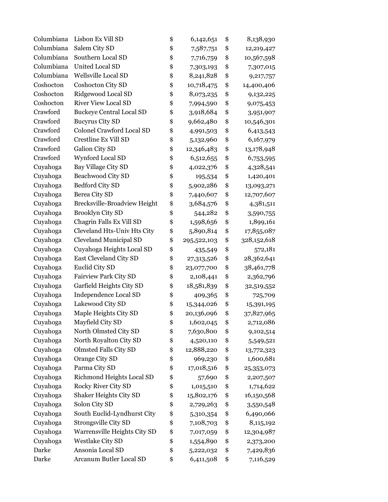| Columbiana | Lisbon Ex Vill SD               | \$<br>6,142,651   | \$<br>8,138,930   |
|------------|---------------------------------|-------------------|-------------------|
| Columbiana | Salem City SD                   | \$<br>7,587,751   | \$<br>12,219,427  |
| Columbiana | Southern Local SD               | \$<br>7,716,759   | \$<br>10,567,598  |
| Columbiana | <b>United Local SD</b>          | \$<br>7,303,193   | \$<br>7,307,015   |
| Columbiana | Wellsville Local SD             | \$<br>8,241,828   | \$<br>9,217,757   |
| Coshocton  | Coshocton City SD               | \$<br>10,718,475  | \$<br>14,400,406  |
| Coshocton  | Ridgewood Local SD              | \$<br>8,073,235   | \$<br>9,132,225   |
| Coshocton  | <b>River View Local SD</b>      | \$<br>7,994,590   | \$<br>9,075,453   |
| Crawford   | <b>Buckeye Central Local SD</b> | \$<br>3,918,684   | \$<br>3,951,907   |
| Crawford   | <b>Bucyrus City SD</b>          | \$<br>9,662,480   | \$<br>10,546,301  |
| Crawford   | Colonel Crawford Local SD       | \$<br>4,991,503   | \$<br>6,413,543   |
| Crawford   | Crestline Ex Vill SD            | \$<br>5,132,960   | \$<br>6,167,979   |
| Crawford   | Galion City SD                  | \$<br>12,346,483  | \$<br>13,178,948  |
| Crawford   | Wynford Local SD                | \$<br>6,512,655   | \$<br>6,753,595   |
| Cuyahoga   | Bay Village City SD             | \$<br>4,022,376   | \$<br>4,328,541   |
| Cuyahoga   | Beachwood City SD               | \$<br>195,534     | \$<br>1,420,401   |
| Cuyahoga   | <b>Bedford City SD</b>          | \$<br>5,902,286   | \$<br>13,093,271  |
| Cuyahoga   | Berea City SD                   | \$<br>7,440,607   | \$<br>12,707,607  |
| Cuyahoga   | Brecksville-Broadview Height    | \$<br>3,684,576   | \$<br>4,381,511   |
| Cuyahoga   | <b>Brooklyn City SD</b>         | \$<br>544,282     | \$<br>3,590,755   |
| Cuyahoga   | Chagrin Falls Ex Vill SD        | \$<br>1,598,656   | \$<br>1,899,161   |
| Cuyahoga   | Cleveland Hts-Univ Hts City     | \$<br>5,890,814   | \$<br>17,855,087  |
| Cuyahoga   | <b>Cleveland Municipal SD</b>   | \$<br>295,522,103 | \$<br>328,152,618 |
| Cuyahoga   | Cuyahoga Heights Local SD       | \$<br>435,549     | \$<br>572,181     |
| Cuyahoga   | East Cleveland City SD          | \$<br>27,313,526  | \$<br>28,362,641  |
| Cuyahoga   | Euclid City SD                  | \$<br>23,077,700  | \$<br>38,461,778  |
| Cuyahoga   | <b>Fairview Park City SD</b>    | \$<br>2,108,441   | \$<br>2,362,796   |
| Cuyahoga   | Garfield Heights City SD        | \$<br>18,581,839  | \$<br>32,519,552  |
| Cuyahoga   | Independence Local SD           | \$<br>409,365     | \$<br>725,709     |
| Cuyahoga   | Lakewood City SD                | \$<br>15,344,026  | \$<br>15,391,195  |
| Cuyahoga   | Maple Heights City SD           | \$<br>20,136,096  | \$<br>37,827,965  |
| Cuyahoga   | Mayfield City SD                | \$<br>1,602,045   | \$<br>2,712,086   |
| Cuyahoga   | North Olmsted City SD           | \$<br>7,630,800   | \$<br>9,102,514   |
| Cuyahoga   | North Royalton City SD          | \$<br>4,520,110   | \$<br>5,549,521   |
| Cuyahoga   | <b>Olmsted Falls City SD</b>    | \$<br>12,888,220  | \$<br>13,772,323  |
| Cuyahoga   | Orange City SD                  | \$<br>969,230     | \$<br>1,600,681   |
| Cuyahoga   | Parma City SD                   | \$<br>17,018,516  | \$<br>25,353,073  |
| Cuyahoga   | Richmond Heights Local SD       | \$<br>57,690      | \$<br>2,207,507   |
| Cuyahoga   | Rocky River City SD             | \$<br>1,015,510   | \$<br>1,714,622   |
| Cuyahoga   | Shaker Heights City SD          | \$<br>15,802,176  | \$<br>16,150,568  |
| Cuyahoga   | Solon City SD                   | \$<br>2,729,263   | \$<br>3,550,548   |
| Cuyahoga   | South Euclid-Lyndhurst City     | \$<br>5,310,354   | \$<br>6,490,066   |
| Cuyahoga   | Strongsville City SD            | \$<br>7,108,703   | \$<br>8,115,192   |
| Cuyahoga   | Warrensville Heights City SD    | \$<br>7,017,059   | \$<br>12,304,987  |
| Cuyahoga   | <b>Westlake City SD</b>         | \$<br>1,554,890   | \$<br>2,373,200   |
| Darke      | Ansonia Local SD                | \$<br>5,222,032   | \$<br>7,429,836   |
| Darke      | Arcanum Butler Local SD         | \$<br>6,411,508   | \$<br>7,116,529   |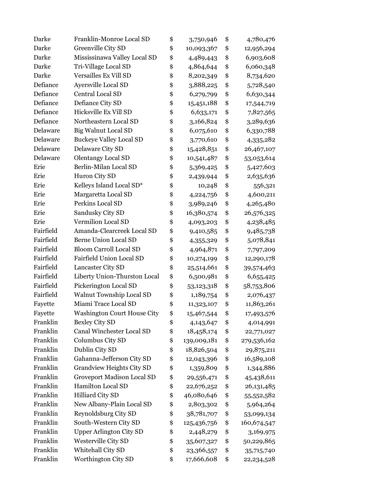| Darke     | Franklin-Monroe Local SD           | \$<br>3,750,946   | \$<br>4,780,476   |
|-----------|------------------------------------|-------------------|-------------------|
| Darke     | Greenville City SD                 | \$<br>10,093,367  | \$<br>12,956,294  |
| Darke     | Mississinawa Valley Local SD       | \$<br>4,489,443   | \$<br>6,903,608   |
| Darke     | Tri-Village Local SD               | \$<br>4,864,644   | \$<br>6,060,348   |
| Darke     | Versailles Ex Vill SD              | \$<br>8,202,349   | \$<br>8,734,620   |
| Defiance  | Ayersville Local SD                | \$<br>3,888,225   | \$<br>5,728,540   |
| Defiance  | Central Local SD                   | \$<br>6,279,799   | \$<br>6,630,344   |
| Defiance  | Defiance City SD                   | \$<br>15,451,188  | \$<br>17,544,719  |
| Defiance  | Hicksville Ex Vill SD              | \$<br>6,633,171   | \$<br>7,827,565   |
| Defiance  | Northeastern Local SD              | \$<br>3,166,824   | \$<br>3,289,636   |
| Delaware  | <b>Big Walnut Local SD</b>         | \$<br>6,075,610   | \$<br>6,330,788   |
| Delaware  | <b>Buckeye Valley Local SD</b>     | \$<br>3,770,610   | \$<br>4,335,282   |
| Delaware  | Delaware City SD                   | \$<br>15,428,851  | \$<br>26,467,107  |
| Delaware  | <b>Olentangy Local SD</b>          | \$<br>10,541,487  | \$<br>53,053,614  |
| Erie      | Berlin-Milan Local SD              | \$<br>5,369,425   | \$<br>5,427,603   |
| Erie      | Huron City SD                      | \$<br>2,439,944   | \$<br>2,635,636   |
| Erie      | Kelleys Island Local SD*           | \$<br>10,248      | \$<br>556,321     |
| Erie      | Margaretta Local SD                | \$<br>4,224,756   | \$<br>4,600,211   |
| Erie      | Perkins Local SD                   | \$<br>3,989,246   | \$<br>4,265,480   |
| Erie      | Sandusky City SD                   | \$<br>16,380,574  | \$<br>26,576,325  |
| Erie      | Vermilion Local SD                 | \$<br>4,093,203   | \$<br>4,238,485   |
| Fairfield | Amanda-Clearcreek Local SD         | \$<br>9,410,585   | \$<br>9,485,738   |
| Fairfield | <b>Berne Union Local SD</b>        | \$<br>4,355,329   | \$<br>5,078,841   |
| Fairfield | <b>Bloom Carroll Local SD</b>      | \$<br>4,964,871   | \$<br>7,797,209   |
| Fairfield | Fairfield Union Local SD           | \$<br>10,274,199  | \$<br>12,290,178  |
| Fairfield | Lancaster City SD                  | \$<br>25,514,661  | \$<br>39,574,463  |
| Fairfield | Liberty Union-Thurston Local       | \$<br>6,500,981   | \$<br>6,655,425   |
| Fairfield | Pickerington Local SD              | \$<br>53,123,318  | \$<br>58,753,806  |
| Fairfield | Walnut Township Local SD           | \$<br>1,189,754   | \$<br>2,076,437   |
| Fayette   | Miami Trace Local SD               | \$<br>11,323,107  | \$<br>11,863,261  |
| Fayette   | <b>Washington Court House City</b> | \$<br>15,467,544  | \$<br>17,493,576  |
| Franklin  | <b>Bexley City SD</b>              | \$<br>4,143,647   | \$<br>4,014,991   |
| Franklin  | Canal Winchester Local SD          | \$<br>18,458,174  | \$<br>22,771,027  |
| Franklin  | Columbus City SD                   | \$<br>139,009,181 | \$<br>279,536,162 |
| Franklin  | Dublin City SD                     | \$<br>18,826,504  | \$<br>29,875,211  |
| Franklin  | Gahanna-Jefferson City SD          | \$<br>12,043,396  | \$<br>16,589,108  |
| Franklin  | Grandview Heights City SD          | \$<br>1,359,809   | \$<br>1,344,886   |
| Franklin  | Groveport Madison Local SD         | \$<br>29,556,471  | \$<br>45,438,611  |
| Franklin  | Hamilton Local SD                  | \$<br>22,676,252  | \$<br>26,131,485  |
| Franklin  | Hilliard City SD                   | \$<br>46,080,646  | \$<br>55,552,582  |
| Franklin  | New Albany-Plain Local SD          | \$<br>2,803,302   | \$<br>5,964,264   |
| Franklin  | Reynoldsburg City SD               | \$<br>38,781,707  | \$<br>53,099,134  |
| Franklin  | South-Western City SD              | \$<br>125,436,756 | \$<br>160,674,547 |
| Franklin  | <b>Upper Arlington City SD</b>     | \$<br>2,448,279   | \$<br>3,169,975   |
| Franklin  | Westerville City SD                | \$<br>35,607,327  | \$<br>50,229,865  |
| Franklin  | Whitehall City SD                  | \$<br>23,366,557  | \$<br>35,715,740  |
| Franklin  | Worthington City SD                | \$<br>17,666,608  | \$<br>22,234,528  |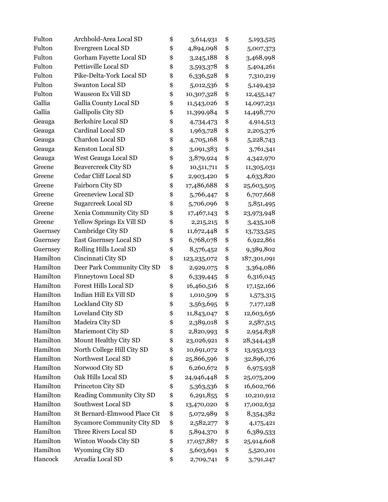| Fulton   | Archbold-Area Local SD            | \$<br>3,614,931     | \$<br>5,193,525   |
|----------|-----------------------------------|---------------------|-------------------|
| Fulton   | Evergreen Local SD                | \$<br>4,894,098     | \$<br>5,007,373   |
| Fulton   | Gorham Fayette Local SD           | \$<br>3,245,188     | \$<br>3,468,998   |
| Fulton   | Pettisville Local SD              | \$<br>3,593,378     | \$<br>5,404,261   |
| Fulton   | Pike-Delta-York Local SD          | \$<br>6,336,528     | \$<br>7,310,219   |
| Fulton   | <b>Swanton Local SD</b>           | \$<br>5,012,536     | \$<br>5,149,432   |
| Fulton   | <b>Wauseon Ex Vill SD</b>         | \$<br>10,307,328    | \$<br>12,455,147  |
| Gallia   | Gallia County Local SD            | \$<br>11,543,026    | \$<br>14,097,231  |
| Gallia   | Gallipolis City SD                | \$<br>11,399,984    | \$<br>14,498,770  |
| Geauga   | Berkshire Local SD                | \$<br>4,734,473     | \$<br>4,914,513   |
| Geauga   | Cardinal Local SD                 | \$<br>1,963,728     | \$<br>2,205,376   |
| Geauga   | Chardon Local SD                  | \$<br>4,705,168     | \$<br>5,228,743   |
| Geauga   | Kenston Local SD                  | \$<br>3,091,383     | \$<br>3,761,341   |
| Geauga   | West Geauga Local SD              | \$<br>3,879,924     | \$<br>4,342,970   |
| Greene   | <b>Beavercreek City SD</b>        | \$<br>10,511,711    | \$<br>11,305,031  |
| Greene   | Cedar Cliff Local SD              | \$<br>2,903,420     | \$<br>4,633,820   |
| Greene   | Fairborn City SD                  | \$<br>17,486,688    | \$<br>25,603,505  |
| Greene   | <b>Greeneview Local SD</b>        | \$<br>5,766,447     | \$<br>6,707,668   |
| Greene   | <b>Sugarcreek Local SD</b>        | \$<br>5,706,096     | \$<br>5,851,495   |
| Greene   | Xenia Community City SD           | \$<br>17,467,143    | \$<br>23,973,948  |
| Greene   | Yellow Springs Ex Vill SD         | \$<br>2,215,215     | \$<br>3,435,108   |
| Guernsey | Cambridge City SD                 | \$<br>11,672,448    | \$<br>13,733,525  |
| Guernsey | East Guernsey Local SD            | \$<br>6,768,078     | \$<br>6,922,861   |
| Guernsey | Rolling Hills Local SD            | \$<br>8,576,452     | \$<br>9,389,802   |
| Hamilton | Cincinnati City SD                | \$<br>123, 235, 072 | \$<br>187,301,091 |
| Hamilton | Deer Park Community City SD       | \$<br>2,929,075     | \$<br>3,364,086   |
| Hamilton | Finneytown Local SD               | \$<br>6,339,445     | \$<br>6,316,045   |
| Hamilton | <b>Forest Hills Local SD</b>      | \$<br>16,460,516    | \$<br>17,152,166  |
| Hamilton | Indian Hill Ex Vill SD            | \$<br>1,010,509     | \$<br>1,573,315   |
| Hamilton | Lockland City SD                  | \$<br>3,563,695     | \$<br>7,177,128   |
| Hamilton | Loveland City SD                  | \$<br>11,843,047    | \$<br>12,603,656  |
| Hamilton | Madeira City SD                   | \$<br>2,389,018     | \$<br>2,587,515   |
| Hamilton | Mariemont City SD                 | \$<br>2,820,993     | \$<br>2,954,838   |
| Hamilton | Mount Healthy City SD             | \$<br>23,026,921    | \$<br>28,344,438  |
| Hamilton | North College Hill City SD        | \$<br>10,691,072    | \$<br>13,953,033  |
| Hamilton | Northwest Local SD                | \$<br>25,866,596    | \$<br>32,896,176  |
| Hamilton | Norwood City SD                   | \$<br>6,260,672     | \$<br>6,975,938   |
| Hamilton | Oak Hills Local SD                | \$<br>24,946,448    | \$<br>25,075,209  |
| Hamilton | Princeton City SD                 | \$<br>5,363,536     | \$<br>16,602,766  |
| Hamilton | Reading Community City SD         | \$<br>6,291,855     | \$<br>10,210,912  |
| Hamilton | Southwest Local SD                | \$<br>13,470,020    | \$<br>17,002,632  |
| Hamilton | St Bernard-Elmwood Place Cit      | \$<br>5,072,989     | \$<br>8,354,382   |
| Hamilton | <b>Sycamore Community City SD</b> | \$<br>2,582,277     | \$<br>4,175,421   |
| Hamilton | Three Rivers Local SD             | \$<br>5,894,370     | \$<br>6,389,533   |
| Hamilton | Winton Woods City SD              | \$<br>17,057,887    | \$<br>25,914,608  |
| Hamilton | <b>Wyoming City SD</b>            | \$<br>5,603,691     | \$<br>5,520,101   |
| Hancock  | Arcadia Local SD                  | \$<br>2,709,741     | \$<br>3,791,247   |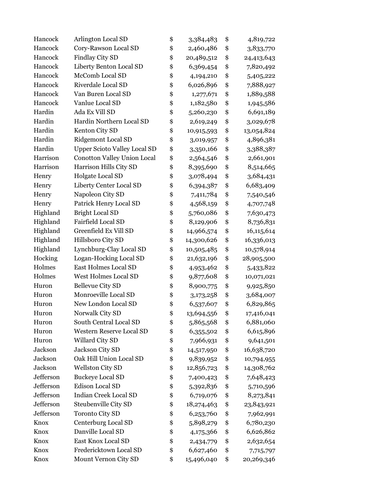| Hancock   | Arlington Local SD                  | \$<br>3,384,483  | \$<br>4,819,722  |
|-----------|-------------------------------------|------------------|------------------|
| Hancock   | Cory-Rawson Local SD                | \$<br>2,460,486  | \$<br>3,833,770  |
| Hancock   | Findlay City SD                     | \$<br>20,489,512 | \$<br>24,413,643 |
| Hancock   | Liberty Benton Local SD             | \$<br>6,369,454  | \$<br>7,820,492  |
| Hancock   | McComb Local SD                     | \$<br>4,194,210  | \$<br>5,405,222  |
| Hancock   | Riverdale Local SD                  | \$<br>6,026,896  | \$<br>7,888,927  |
| Hancock   | Van Buren Local SD                  | \$<br>1,277,671  | \$<br>1,889,588  |
| Hancock   | Vanlue Local SD                     | \$<br>1,182,580  | \$<br>1,945,586  |
| Hardin    | Ada Ex Vill SD                      | \$<br>5,260,230  | \$<br>6,691,189  |
| Hardin    | Hardin Northern Local SD            | \$<br>2,619,249  | \$<br>3,029,678  |
| Hardin    | Kenton City SD                      | \$<br>10,915,593 | \$<br>13,054,824 |
| Hardin    | Ridgemont Local SD                  | \$<br>3,019,957  | \$<br>4,896,381  |
| Hardin    | <b>Upper Scioto Valley Local SD</b> | \$<br>3,350,166  | \$<br>3,388,387  |
| Harrison  | <b>Conotton Valley Union Local</b>  | \$<br>2,564,546  | \$<br>2,661,901  |
| Harrison  | Harrison Hills City SD              | \$<br>8,395,690  | \$<br>8,514,665  |
| Henry     | Holgate Local SD                    | \$<br>3,078,494  | \$<br>3,684,431  |
| Henry     | Liberty Center Local SD             | \$<br>6,394,387  | \$<br>6,683,409  |
| Henry     | Napoleon City SD                    | \$<br>7,411,784  | \$<br>7,540,546  |
| Henry     | Patrick Henry Local SD              | \$<br>4,568,159  | \$<br>4,707,748  |
| Highland  | <b>Bright Local SD</b>              | \$<br>5,760,086  | \$<br>7,630,473  |
| Highland  | Fairfield Local SD                  | \$<br>8,129,906  | \$<br>8,736,831  |
| Highland  | Greenfield Ex Vill SD               | \$<br>14,966,574 | \$<br>16,115,614 |
| Highland  | Hillsboro City SD                   | \$<br>14,300,626 | \$<br>16,336,013 |
| Highland  | Lynchburg-Clay Local SD             | \$<br>10,505,485 | \$<br>10,578,914 |
| Hocking   | Logan-Hocking Local SD              | \$<br>21,632,196 | \$<br>28,905,500 |
| Holmes    | East Holmes Local SD                | \$<br>4,953,462  | \$<br>5,433,822  |
| Holmes    | West Holmes Local SD                | \$<br>9,877,608  | \$<br>10,071,021 |
| Huron     | <b>Bellevue City SD</b>             | \$<br>8,900,775  | \$<br>9,925,850  |
| Huron     | Monroeville Local SD                | \$<br>3,173,258  | \$<br>3,684,007  |
| Huron     | New London Local SD                 | \$<br>6,537,607  | \$<br>6,829,865  |
| Huron     | Norwalk City SD                     | \$<br>13,694,556 | \$<br>17,416,041 |
| Huron     | South Central Local SD              | \$<br>5,865,568  | \$<br>6,881,060  |
| Huron     | Western Reserve Local SD            | \$<br>6,355,502  | \$<br>6,615,896  |
| Huron     | Willard City SD                     | \$<br>7,966,931  | \$<br>9,641,501  |
| Jackson   | Jackson City SD                     | \$<br>14,517,950 | \$<br>16,638,720 |
| Jackson   | Oak Hill Union Local SD             | \$<br>9,839,952  | \$<br>10,794,955 |
| Jackson   | <b>Wellston City SD</b>             | \$<br>12,856,723 | \$<br>14,308,762 |
| Jefferson | <b>Buckeye Local SD</b>             | \$<br>7,400,423  | \$<br>7,648,423  |
| Jefferson | <b>Edison Local SD</b>              | \$<br>5,392,836  | \$<br>5,710,596  |
| Jefferson | <b>Indian Creek Local SD</b>        | \$<br>6,719,076  | \$<br>8,273,841  |
| Jefferson | Steubenville City SD                | \$<br>18,274,463 | \$<br>23,843,921 |
| Jefferson | <b>Toronto City SD</b>              | \$<br>6,253,760  | \$<br>7,962,991  |
| Knox      | Centerburg Local SD                 | \$<br>5,898,279  | \$<br>6,780,230  |
| Knox      | Danville Local SD                   | \$<br>4,175,366  | \$<br>6,626,862  |
| Knox      | East Knox Local SD                  | \$<br>2,434,779  | \$<br>2,632,654  |
| Knox      | Fredericktown Local SD              | \$<br>6,627,460  | \$<br>7,715,797  |
| Knox      | Mount Vernon City SD                | \$<br>15,496,040 | \$<br>20,269,346 |
|           |                                     |                  |                  |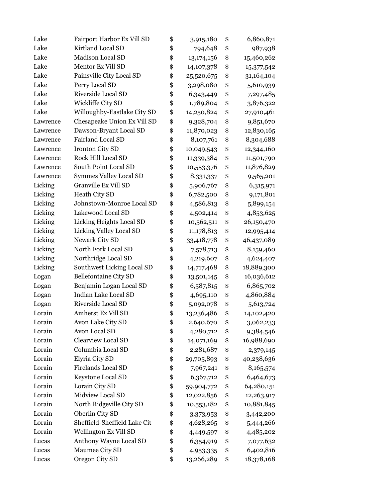| Fairport Harbor Ex Vill SD   | \$<br>3,915,180    | \$<br>6,860,871  |
|------------------------------|--------------------|------------------|
| Kirtland Local SD            | \$<br>794,648      | \$<br>987,938    |
| Madison Local SD             | \$<br>13,174,156   | \$<br>15,460,262 |
| Mentor Ex Vill SD            | \$<br>14, 107, 378 | \$<br>15,377,542 |
| Painsville City Local SD     | \$<br>25,520,675   | \$<br>31,164,104 |
| Perry Local SD               | \$<br>3,298,080    | \$<br>5,610,939  |
| Riverside Local SD           | \$<br>6,343,449    | \$<br>7,297,485  |
| Wickliffe City SD            | \$<br>1,789,804    | \$<br>3,876,322  |
| Willoughby-Eastlake City SD  | \$<br>14,250,824   | \$<br>27,910,461 |
| Chesapeake Union Ex Vill SD  | \$<br>9,328,704    | \$<br>9,851,670  |
| Dawson-Bryant Local SD       | \$<br>11,870,023   | \$<br>12,830,165 |
| Fairland Local SD            | \$<br>8,107,761    | \$<br>8,304,688  |
| <b>Ironton City SD</b>       | \$<br>10,049,543   | \$<br>12,344,160 |
| <b>Rock Hill Local SD</b>    | \$<br>11,339,384   | \$<br>11,501,790 |
| South Point Local SD         | \$<br>10,553,376   | \$<br>11,876,829 |
| Symmes Valley Local SD       | \$<br>8,331,337    | \$<br>9,565,201  |
| Granville Ex Vill SD         | \$<br>5,906,767    | \$<br>6,315,971  |
| Heath City SD                | \$<br>6,782,500    | \$<br>9,171,801  |
| Johnstown-Monroe Local SD    | \$<br>4,586,813    | \$<br>5,899,154  |
| Lakewood Local SD            | \$<br>4,502,414    | \$<br>4,853,625  |
| Licking Heights Local SD     | \$<br>10,562,511   | \$<br>26,150,470 |
| Licking Valley Local SD      | \$<br>11,178,813   | \$<br>12,995,414 |
| Newark City SD               | \$<br>33,418,778   | \$<br>46,437,089 |
| North Fork Local SD          | \$<br>7,578,713    | \$<br>8,159,460  |
| Northridge Local SD          | \$<br>4,219,607    | \$<br>4,624,407  |
| Southwest Licking Local SD   | \$<br>14,717,468   | \$<br>18,889,300 |
| <b>Bellefontaine City SD</b> | \$<br>13,501,145   | \$<br>16,036,612 |
| Benjamin Logan Local SD      | \$<br>6,587,815    | \$<br>6,865,702  |
| Indian Lake Local SD         | \$<br>4,695,110    | \$<br>4,860,884  |
| Riverside Local SD           | \$<br>5,092,078    | \$<br>5,613,724  |
| Amherst Ex Vill SD           | \$<br>13,236,486   | \$<br>14,102,420 |
| Avon Lake City SD            | \$<br>2,640,670    | \$<br>3,062,233  |
| Avon Local SD                | \$<br>4,280,712    | \$<br>9,384,546  |
| <b>Clearview Local SD</b>    | \$<br>14,071,169   | \$<br>16,988,690 |
| Columbia Local SD            | \$<br>2,281,687    | \$<br>2,379,145  |
| Elyria City SD               | \$<br>29,705,893   | \$<br>40,238,636 |
| Firelands Local SD           | \$<br>7,967,241    | \$<br>8,165,574  |
| Keystone Local SD            | \$<br>6,367,712    | \$<br>6,464,673  |
| Lorain City SD               | \$<br>59,904,772   | \$<br>64,280,151 |
| Midview Local SD             | \$<br>12,022,856   | \$<br>12,263,917 |
| North Ridgeville City SD     | \$<br>10,553,182   | \$<br>10,881,845 |
| Oberlin City SD              | \$<br>3,373,953    | \$<br>3,442,200  |
| Sheffield-Sheffield Lake Cit | \$<br>4,628,265    | \$<br>5,444,266  |
| Wellington Ex Vill SD        | \$<br>4,449,597    | \$<br>4,485,202  |
| Anthony Wayne Local SD       | \$<br>6,354,919    | \$<br>7,077,632  |
| Maumee City SD               | \$<br>4,953,335    | \$<br>6,402,816  |
| Oregon City SD               | \$<br>13,266,289   | \$<br>18,378,168 |
|                              |                    |                  |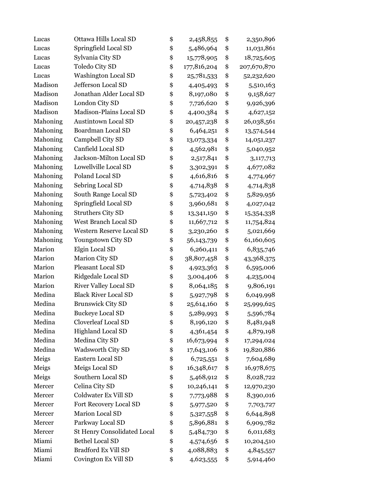| Lucas    | Ottawa Hills Local SD              | \$<br>2,458,855   | \$<br>2,350,896   |
|----------|------------------------------------|-------------------|-------------------|
| Lucas    | Springfield Local SD               | \$<br>5,486,964   | \$<br>11,031,861  |
| Lucas    | Sylvania City SD                   | \$<br>15,778,905  | \$<br>18,725,605  |
| Lucas    | <b>Toledo City SD</b>              | \$<br>177,816,204 | \$<br>207,670,870 |
| Lucas    | <b>Washington Local SD</b>         | \$<br>25,781,533  | \$<br>52,232,620  |
| Madison  | Jefferson Local SD                 | \$<br>4,405,493   | \$<br>5,510,163   |
| Madison  | Jonathan Alder Local SD            | \$<br>8,197,080   | \$<br>9,158,627   |
| Madison  | London City SD                     | \$<br>7,726,620   | \$<br>9,926,396   |
| Madison  | Madison-Plains Local SD            | \$<br>4,400,384   | \$<br>4,627,152   |
| Mahoning | <b>Austintown Local SD</b>         | \$<br>20,457,238  | \$<br>26,038,561  |
| Mahoning | Boardman Local SD                  | \$<br>6,464,251   | \$<br>13,574,544  |
| Mahoning | Campbell City SD                   | \$<br>13,073,334  | \$<br>14,051,237  |
| Mahoning | Canfield Local SD                  | \$<br>4,562,981   | \$<br>5,040,952   |
| Mahoning | Jackson-Milton Local SD            | \$<br>2,517,841   | \$<br>3,117,713   |
| Mahoning | Lowellville Local SD               | \$<br>3,302,391   | \$<br>4,677,082   |
| Mahoning | Poland Local SD                    | \$<br>4,616,816   | \$<br>4,774,967   |
| Mahoning | Sebring Local SD                   | \$<br>4,714,838   | \$<br>4,714,838   |
| Mahoning | South Range Local SD               | \$<br>5,723,402   | \$<br>5,829,956   |
| Mahoning | Springfield Local SD               | \$<br>3,960,681   | \$<br>4,027,042   |
| Mahoning | <b>Struthers City SD</b>           | \$<br>13,341,150  | \$<br>15,354,338  |
| Mahoning | West Branch Local SD               | \$<br>11,667,712  | \$<br>11,754,824  |
| Mahoning | Western Reserve Local SD           | \$<br>3,230,260   | \$<br>5,021,669   |
| Mahoning | Youngstown City SD                 | \$<br>56,143,739  | \$<br>61,160,605  |
| Marion   | Elgin Local SD                     | \$<br>6,260,411   | \$<br>6,835,746   |
| Marion   | Marion City SD                     | \$<br>38,807,458  | \$<br>43,368,375  |
| Marion   | Pleasant Local SD                  | \$<br>4,923,363   | \$<br>6,595,006   |
| Marion   | Ridgedale Local SD                 | \$<br>3,004,406   | \$<br>4,235,004   |
| Marion   | <b>River Valley Local SD</b>       | \$<br>8,064,185   | \$<br>9,806,191   |
| Medina   | <b>Black River Local SD</b>        | \$<br>5,927,798   | \$<br>6,049,998   |
| Medina   | <b>Brunswick City SD</b>           | \$<br>25,614,160  | \$<br>25,999,625  |
| Medina   | <b>Buckeye Local SD</b>            | \$<br>5,289,993   | \$<br>5,596,784   |
| Medina   | <b>Cloverleaf Local SD</b>         | \$<br>8,196,120   | \$<br>8,481,948   |
| Medina   | Highland Local SD                  | \$<br>4,361,454   | \$<br>4,879,198   |
| Medina   | Medina City SD                     | \$<br>16,673,994  | \$<br>17,294,024  |
| Medina   | Wadsworth City SD                  | \$<br>17,643,106  | \$<br>19,820,886  |
| Meigs    | Eastern Local SD                   | \$<br>6,725,551   | \$<br>7,604,689   |
| Meigs    | Meigs Local SD                     | \$<br>16,348,617  | \$<br>16,978,675  |
| Meigs    | Southern Local SD                  | \$<br>5,468,912   | \$<br>8,028,722   |
| Mercer   | Celina City SD                     | \$<br>10,246,141  | \$<br>12,970,230  |
| Mercer   | Coldwater Ex Vill SD               | \$<br>7,773,988   | \$<br>8,390,016   |
| Mercer   | Fort Recovery Local SD             | \$<br>5,977,520   | \$<br>7,703,727   |
| Mercer   | Marion Local SD                    | \$<br>5,327,558   | \$<br>6,644,898   |
| Mercer   | Parkway Local SD                   | \$<br>5,896,881   | \$<br>6,909,782   |
| Mercer   | <b>St Henry Consolidated Local</b> | \$<br>5,484,730   | \$<br>6,011,683   |
| Miami    | <b>Bethel Local SD</b>             | \$<br>4,574,656   | \$<br>10,204,510  |
| Miami    | Bradford Ex Vill SD                | \$<br>4,088,883   | \$<br>4,845,557   |
| Miami    | Covington Ex Vill SD               | \$<br>4,623,555   | \$<br>5,914,460   |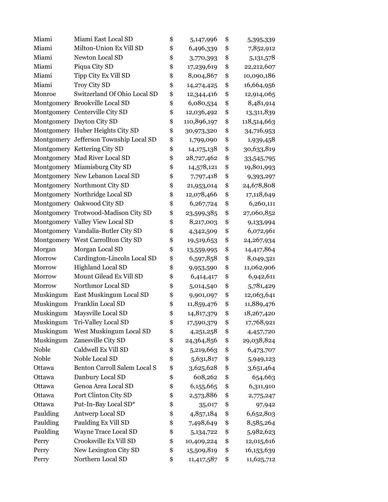| Miami     | Miami East Local SD                    | \$<br>5,147,996    | \$<br>5,395,339    |
|-----------|----------------------------------------|--------------------|--------------------|
| Miami     | Milton-Union Ex Vill SD                | \$<br>6,496,339    | \$<br>7,852,912    |
| Miami     | Newton Local SD                        | \$<br>3,770,393    | \$<br>5,131,578    |
| Miami     | Piqua City SD                          | \$<br>17,239,619   | \$<br>22,212,607   |
| Miami     | Tipp City Ex Vill SD                   | \$<br>8,004,867    | \$<br>10,090,186   |
| Miami     | Troy City SD                           | \$<br>14,274,425   | \$<br>16,664,956   |
| Monroe    | Switzerland Of Ohio Local SD           | \$<br>12,344,416   | \$<br>12,914,065   |
|           | Montgomery Brookville Local SD         | \$<br>6,080,534    | \$<br>8,481,914    |
|           | Montgomery Centerville City SD         | \$<br>12,036,492   | \$<br>13,311,839   |
|           | Montgomery Dayton City SD              | \$<br>110,896,197  | \$<br>118,514,663  |
|           | Montgomery Huber Heights City SD       | \$<br>30,973,320   | \$<br>34,716,953   |
|           | Montgomery Jefferson Township Local SD | \$<br>1,799,090    | \$<br>1,939,458    |
|           | Montgomery Kettering City SD           | \$<br>14, 175, 138 | \$<br>30,633,819   |
|           | Montgomery Mad River Local SD          | \$<br>28,727,462   | \$<br>33,545,795   |
|           | Montgomery Miamisburg City SD          | \$<br>14,578,121   | \$<br>19,801,993   |
|           | Montgomery New Lebanon Local SD        | \$<br>7,797,418    | \$<br>9,393,297    |
|           | Montgomery Northmont City SD           | \$<br>21,953,014   | \$<br>24,678,808   |
|           | Montgomery Northridge Local SD         | \$<br>12,078,466   | \$<br>17,118,649   |
|           | Montgomery Oakwood City SD             | \$<br>6,267,724    | \$<br>6,260,111    |
|           | Montgomery Trotwood-Madison City SD    | \$<br>23,599,385   | \$<br>27,060,852   |
|           | Montgomery Valley View Local SD        | \$<br>8,217,003    | \$<br>9,133,994    |
|           | Montgomery Vandalia-Butler City SD     | \$<br>4,342,509    | \$<br>6,072,961    |
|           | Montgomery West Carrollton City SD     | \$<br>19,519,653   | \$<br>24, 267, 934 |
| Morgan    | Morgan Local SD                        | \$<br>13,559,995   | \$<br>14,417,864   |
| Morrow    | Cardington-Lincoln Local SD            | \$<br>6,597,858    | \$<br>8,049,321    |
| Morrow    | Highland Local SD                      | \$<br>9,953,590    | \$<br>11,062,906   |
| Morrow    | Mount Gilead Ex Vill SD                | \$<br>6,414,417    | \$<br>6,942,611    |
| Morrow    | Northmor Local SD                      | \$<br>5,014,540    | \$<br>5,781,429    |
| Muskingum | East Muskingum Local SD                | \$<br>9,901,097    | \$<br>12,063,641   |
| Muskingum | Franklin Local SD                      | \$<br>11,859,476   | \$<br>11,889,476   |
| Muskingum | Maysville Local SD                     | \$<br>14,817,379   | \$<br>18,267,420   |
| Muskingum | Tri-Valley Local SD                    | \$<br>17,590,379   | \$<br>17,768,921   |
| Muskingum | West Muskingum Local SD                | \$<br>4,251,258    | \$<br>4,457,720    |
| Muskingum | Zanesville City SD                     | \$<br>24,364,856   | \$<br>29,038,824   |
| Noble     | Caldwell Ex Vill SD                    | \$<br>5,219,663    | \$<br>6,473,707    |
| Noble     | Noble Local SD                         | \$<br>5,631,817    | \$<br>5,949,123    |
| Ottawa    | Benton Carroll Salem Local S           | \$<br>3,625,628    | \$<br>3,651,464    |
| Ottawa    | Danbury Local SD                       | \$<br>608,262      | \$<br>654,663      |
| Ottawa    | Genoa Area Local SD                    | \$<br>6,155,665    | \$<br>6,311,910    |
| Ottawa    | Port Clinton City SD                   | \$<br>2,573,886    | \$<br>2,775,247    |
| Ottawa    | Put-In-Bay Local SD*                   | \$<br>35,017       | \$<br>97,942       |
| Paulding  | Antwerp Local SD                       | \$<br>4,857,184    | \$<br>6,652,803    |
| Paulding  | Paulding Ex Vill SD                    | \$<br>7,498,649    | \$<br>8,585,264    |
| Paulding  | Wayne Trace Local SD                   | \$<br>5, 134, 722  | \$<br>5,982,623    |
| Perry     | Crooksville Ex Vill SD                 | \$<br>10,409,224   | \$<br>12,015,616   |
| Perry     | New Lexington City SD                  | \$<br>15,509,819   | \$<br>16,153,639   |
| Perry     | Northern Local SD                      | \$<br>11,417,587   | \$<br>11,625,712   |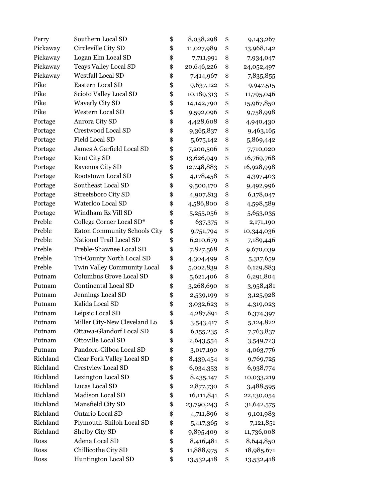| Perry    | Southern Local SD            | \$<br>8,038,298  | \$<br>9,143,267  |
|----------|------------------------------|------------------|------------------|
| Pickaway | Circleville City SD          | \$<br>11,027,989 | \$<br>13,968,142 |
| Pickaway | Logan Elm Local SD           | \$<br>7,711,991  | \$<br>7,934,047  |
| Pickaway | <b>Teays Valley Local SD</b> | \$<br>20,646,226 | \$<br>24,052,497 |
| Pickaway | <b>Westfall Local SD</b>     | \$<br>7,414,967  | \$<br>7,835,855  |
| Pike     | Eastern Local SD             | \$<br>9,637,122  | \$<br>9,947,515  |
| Pike     | Scioto Valley Local SD       | \$<br>10,189,313 | \$<br>11,795,046 |
| Pike     | <b>Waverly City SD</b>       | \$<br>14,142,790 | \$<br>15,967,850 |
| Pike     | <b>Western Local SD</b>      | \$<br>9,592,096  | \$<br>9,758,998  |
| Portage  | Aurora City SD               | \$<br>4,428,608  | \$<br>4,940,430  |
| Portage  | Crestwood Local SD           | \$<br>9,365,837  | \$<br>9,463,165  |
| Portage  | <b>Field Local SD</b>        | \$<br>5,675,142  | \$<br>5,869,442  |
| Portage  | James A Garfield Local SD    | \$<br>7,200,506  | \$<br>7,710,020  |
| Portage  | Kent City SD                 | \$<br>13,626,949 | \$<br>16,769,768 |
| Portage  | Ravenna City SD              | \$<br>12,748,883 | \$<br>16,928,998 |
| Portage  | Rootstown Local SD           | \$<br>4,178,458  | \$<br>4,397,403  |
| Portage  | Southeast Local SD           | \$<br>9,500,170  | \$<br>9,492,996  |
| Portage  | Streetsboro City SD          | \$<br>4,907,813  | \$<br>6,178,047  |
| Portage  | Waterloo Local SD            | \$<br>4,586,800  | \$<br>4,598,589  |
| Portage  | Windham Ex Vill SD           | \$<br>5,255,056  | \$<br>5,653,035  |
| Preble   | College Corner Local SD*     | \$<br>637,375    | \$<br>2,171,190  |
| Preble   | Eaton Community Schools City | \$<br>9,751,794  | \$<br>10,344,036 |
| Preble   | National Trail Local SD      | \$<br>6,210,679  | \$<br>7,189,446  |
| Preble   | Preble-Shawnee Local SD      | \$<br>7,827,568  | \$<br>9,670,039  |
| Preble   | Tri-County North Local SD    | \$<br>4,304,499  | \$<br>5,317,659  |
| Preble   | Twin Valley Community Local  | \$<br>5,002,839  | \$<br>6,129,883  |
| Putnam   | Columbus Grove Local SD      | \$<br>5,621,406  | \$<br>6,291,804  |
| Putnam   | Continental Local SD         | \$<br>3,268,690  | \$<br>3,958,481  |
| Putnam   | Jennings Local SD            | \$<br>2,539,199  | \$<br>3,125,928  |
| Putnam   | Kalida Local SD              | \$<br>3,032,623  | \$<br>4,319,023  |
| Putnam   | Leipsic Local SD             | \$<br>4,287,891  | \$<br>6,374,397  |
| Putnam   | Miller City-New Cleveland Lo | \$<br>3,543,417  | \$<br>5,124,822  |
| Putnam   | Ottawa-Glandorf Local SD     | \$<br>6,155,235  | \$<br>7,763,837  |
| Putnam   | Ottoville Local SD           | \$<br>2,643,554  | \$<br>3,549,723  |
| Putnam   | Pandora-Gilboa Local SD      | \$<br>3,017,190  | \$<br>4,063,776  |
| Richland | Clear Fork Valley Local SD   | \$<br>8,439,454  | \$<br>9,769,725  |
| Richland | <b>Crestview Local SD</b>    | \$<br>6,934,353  | \$<br>6,938,774  |
| Richland | Lexington Local SD           | \$<br>8,435,147  | \$<br>10,033,219 |
| Richland | Lucas Local SD               | \$<br>2,877,730  | \$<br>3,488,595  |
| Richland | Madison Local SD             | \$<br>16,111,841 | \$<br>22,130,054 |
| Richland | Mansfield City SD            | \$<br>23,790,243 | \$<br>31,642,575 |
| Richland | Ontario Local SD             | \$<br>4,711,896  | \$<br>9,101,983  |
| Richland | Plymouth-Shiloh Local SD     | \$<br>5,417,365  | \$<br>7,121,851  |
| Richland | Shelby City SD               | \$<br>9,895,409  | \$<br>11,736,008 |
| Ross     | Adena Local SD               | \$<br>8,416,481  | \$<br>8,644,850  |
| Ross     | Chillicothe City SD          | \$<br>11,888,975 | \$<br>18,985,671 |
| Ross     | Huntington Local SD          | \$<br>13,532,418 | \$<br>13,532,418 |
|          |                              |                  |                  |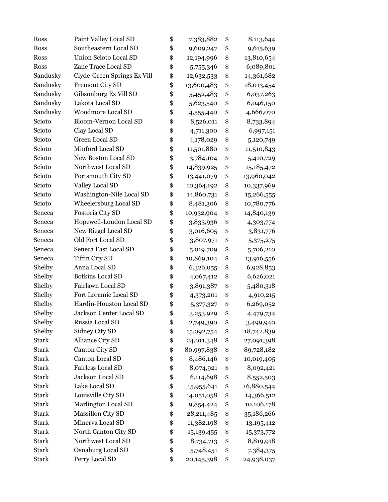| Ross         | Paint Valley Local SD       | \$<br>7,383,882    | \$<br>8,113,644  |
|--------------|-----------------------------|--------------------|------------------|
| Ross         | Southeastern Local SD       | \$<br>9,609,247    | \$<br>9,615,639  |
| Ross         | Union Scioto Local SD       | \$<br>12,194,996   | \$<br>13,810,654 |
| Ross         | Zane Trace Local SD         | \$<br>5,755,346    | \$<br>6,089,801  |
| Sandusky     | Clyde-Green Springs Ex Vill | \$<br>12,632,533   | \$<br>14,361,682 |
| Sandusky     | Fremont City SD             | \$<br>13,600,483   | \$<br>18,013,454 |
| Sandusky     | Gibsonburg Ex Vill SD       | \$<br>5,452,483    | \$<br>6,037,263  |
| Sandusky     | Lakota Local SD             | \$<br>5,623,540    | \$<br>6,046,150  |
| Sandusky     | <b>Woodmore Local SD</b>    | \$<br>4,555,440    | \$<br>4,666,070  |
| Scioto       | Bloom-Vernon Local SD       | \$<br>8,526,011    | \$<br>8,733,894  |
| Scioto       | Clay Local SD               | \$<br>4,711,300    | \$<br>6,997,151  |
| Scioto       | Green Local SD              | \$<br>4,178,029    | \$<br>5,120,749  |
| Scioto       | Minford Local SD            | \$<br>11,501,880   | \$<br>11,510,843 |
| Scioto       | New Boston Local SD         | \$<br>3,784,104    | \$<br>5,410,729  |
| Scioto       | Northwest Local SD          | \$<br>14,839,925   | \$<br>15,185,472 |
| Scioto       | Portsmouth City SD          | \$<br>13,441,079   | \$<br>13,960,042 |
| Scioto       | Valley Local SD             | \$<br>10,364,192   | \$<br>10,337,969 |
| Scioto       | Washington-Nile Local SD    | \$<br>14,860,731   | \$<br>15,266,555 |
| Scioto       | Wheelersburg Local SD       | \$<br>8,481,306    | \$<br>10,780,776 |
| Seneca       | Fostoria City SD            | \$<br>10,932,904   | \$<br>14,840,139 |
| Seneca       | Hopewell-Loudon Local SD    | \$<br>3,833,936    | \$<br>4,303,774  |
| Seneca       | New Riegel Local SD         | \$<br>3,016,605    | \$<br>3,831,776  |
| Seneca       | Old Fort Local SD           | \$<br>3,807,971    | \$<br>5,375,275  |
| Seneca       | Seneca East Local SD        | \$<br>5,019,709    | \$<br>5,706,210  |
| Seneca       | Tiffin City SD              | \$<br>10,869,104   | \$<br>13,916,556 |
| Shelby       | Anna Local SD               | \$<br>6,326,055    | \$<br>6,928,853  |
| Shelby       | <b>Botkins Local SD</b>     | \$<br>4,067,412    | \$<br>6,626,021  |
| Shelby       | Fairlawn Local SD           | \$<br>3,891,387    | \$<br>5,480,318  |
| Shelby       | Fort Loramie Local SD       | \$<br>4,373,201    | \$<br>4,910,215  |
| Shelby       | Hardin-Houston Local SD     | \$<br>5,377,327    | \$<br>6,269,052  |
| Shelby       | Jackson Center Local SD     | \$<br>3,253,929    | \$<br>4,479,734  |
| Shelby       | Russia Local SD             | \$<br>2,749,390    | \$<br>3,499,940  |
| Shelby       | Sidney City SD              | \$<br>15,092,754   | \$<br>18,742,839 |
| Stark        | Alliance City SD            | \$<br>24,011,348   | \$<br>27,091,398 |
| <b>Stark</b> | Canton City SD              | \$<br>80,997,838   | \$<br>89,728,182 |
| <b>Stark</b> | Canton Local SD             | \$<br>8,486,146    | \$<br>10,019,405 |
| <b>Stark</b> | Fairless Local SD           | \$<br>8,074,921    | \$<br>8,092,421  |
| Stark        | Jackson Local SD            | \$<br>6,114,698    | \$<br>8,552,503  |
| <b>Stark</b> | Lake Local SD               | \$<br>15,955,641   | \$<br>16,880,544 |
| <b>Stark</b> | Louisville City SD          | \$<br>14,051,058   | \$<br>14,366,512 |
| <b>Stark</b> | Marlington Local SD         | \$<br>9,854,424    | \$<br>10,106,178 |
| <b>Stark</b> | Massillon City SD           | \$<br>28, 211, 485 | \$<br>35,186,266 |
| Stark        | Minerva Local SD            | \$<br>11,382,198   | \$<br>13,195,412 |
| <b>Stark</b> | North Canton City SD        | \$<br>15,139,455   | \$<br>15,373,772 |
| <b>Stark</b> | Northwest Local SD          | \$<br>8,734,713    | \$<br>8,819,918  |
| <b>Stark</b> | Osnaburg Local SD           | \$<br>5,748,451    | \$<br>7,384,375  |
| <b>Stark</b> | Perry Local SD              | \$<br>20,145,398   | \$<br>24,938,037 |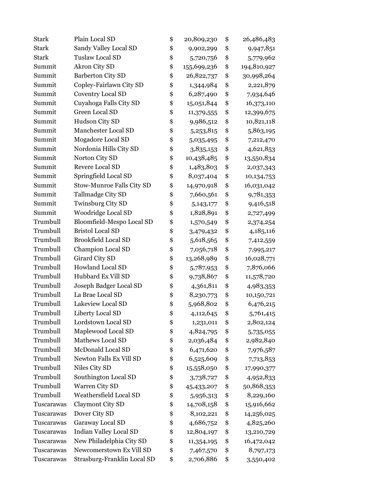| <b>Stark</b> | Plain Local SD                | \$<br>20,809,230  | \$<br>26,486,483  |
|--------------|-------------------------------|-------------------|-------------------|
| <b>Stark</b> | Sandy Valley Local SD         | \$<br>9,902,299   | \$<br>9,947,851   |
| <b>Stark</b> | Tuslaw Local SD               | \$<br>5,720,756   | \$<br>5,779,962   |
| Summit       | Akron City SD                 | \$<br>155,699,236 | \$<br>194,810,927 |
| Summit       | Barberton City SD             | \$<br>26,822,737  | \$<br>30,998,264  |
| Summit       | Copley-Fairlawn City SD       | \$<br>1,344,984   | \$<br>2,221,879   |
| Summit       | <b>Coventry Local SD</b>      | \$<br>6,287,490   | \$<br>7,934,646   |
| Summit       | Cuyahoga Falls City SD        | \$<br>15,051,844  | \$<br>16,373,110  |
| Summit       | Green Local SD                | \$<br>11,379,555  | \$<br>12,399,675  |
| Summit       | Hudson City SD                | \$<br>9,986,512   | \$<br>10,821,118  |
| Summit       | Manchester Local SD           | \$<br>5,253,815   | \$<br>5,863,195   |
| Summit       | Mogadore Local SD             | \$<br>5,035,495   | \$<br>7,212,470   |
| Summit       | Nordonia Hills City SD        | \$<br>3,835,153   | \$<br>4,621,853   |
| Summit       | Norton City SD                | \$<br>10,438,485  | \$<br>13,550,834  |
| Summit       | Revere Local SD               | \$<br>1,483,803   | \$<br>2,037,343   |
| Summit       | Springfield Local SD          | \$<br>8,037,404   | \$<br>10,134,753  |
| Summit       | Stow-Munroe Falls City SD     | \$<br>14,970,918  | \$<br>16,031,042  |
| Summit       | Tallmadge City SD             | \$<br>7,660,561   | \$<br>9,781,353   |
| Summit       | Twinsburg City SD             | \$<br>5, 143, 177 | \$<br>9,416,518   |
| Summit       | Woodridge Local SD            | \$<br>1,828,891   | \$<br>2,727,499   |
| Trumbull     | Bloomfield-Mespo Local SD     | \$<br>1,570,549   | \$<br>2,374,254   |
| Trumbull     | <b>Bristol Local SD</b>       | \$<br>3,479,432   | \$<br>4,185,116   |
| Trumbull     | <b>Brookfield Local SD</b>    | \$<br>5,618,565   | \$<br>7,412,559   |
| Trumbull     | Champion Local SD             | \$<br>7,056,718   | \$<br>7,995,217   |
| Trumbull     | Girard City SD                | \$<br>13,268,989  | \$<br>16,028,771  |
| Trumbull     | Howland Local SD              | \$<br>5,787,953   | \$<br>7,876,066   |
| Trumbull     | Hubbard Ex Vill SD            | \$<br>9,738,867   | \$<br>11,578,720  |
| Trumbull     | Joseph Badger Local SD        | \$<br>4,361,811   | \$<br>4,983,353   |
| Trumbull     | La Brae Local SD              | \$<br>8,230,773   | \$<br>10,150,721  |
| Trumbull     | Lakeview Local SD             | \$<br>5,968,802   | \$<br>6,476,215   |
| Trumbull     | Liberty Local SD              | \$<br>4,112,645   | \$<br>5,761,415   |
| Trumbull     | Lordstown Local SD            | \$<br>1,231,011   | \$<br>2,802,124   |
| Trumbull     | Maplewood Local SD            | \$<br>4,824,795   | \$<br>5,735,055   |
| Trumbull     | Mathews Local SD              | \$<br>2,036,484   | \$<br>2,982,840   |
| Trumbull     | McDonald Local SD             | \$<br>6,471,620   | \$<br>7,976,587   |
| Trumbull     | Newton Falls Ex Vill SD       | \$<br>6,525,609   | \$<br>7,713,853   |
| Trumbull     | Niles City SD                 | \$<br>15,558,050  | \$<br>17,990,377  |
| Trumbull     | Southington Local SD          | \$<br>3,738,727   | \$<br>4,952,833   |
| Trumbull     | Warren City SD                | \$<br>45,433,207  | \$<br>50,868,353  |
| Trumbull     | Weathersfield Local SD        | \$<br>5,956,313   | \$<br>8,229,160   |
| Tuscarawas   | Claymont City SD              | \$<br>14,708,158  | \$<br>15,916,662  |
| Tuscarawas   | Dover City SD                 | \$<br>8,102,221   | \$<br>14,256,025  |
| Tuscarawas   | Garaway Local SD              | \$<br>4,686,752   | \$<br>4,825,260   |
| Tuscarawas   | <b>Indian Valley Local SD</b> | \$<br>12,804,197  | \$<br>13,210,729  |
| Tuscarawas   | New Philadelphia City SD      | \$<br>11,354,195  | \$<br>16,472,042  |
| Tuscarawas   | Newcomerstown Ex Vill SD      | \$<br>7,467,570   | \$<br>8,797,173   |
| Tuscarawas   | Strasburg-Franklin Local SD   | \$<br>2,706,886   | \$<br>3,550,402   |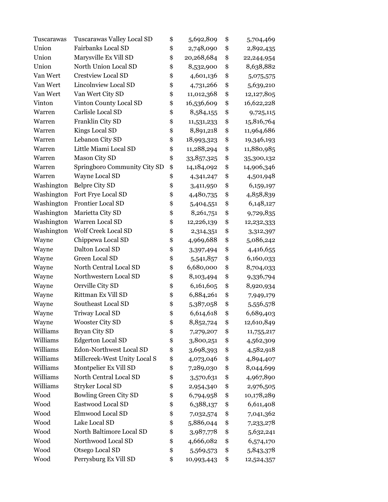| Tuscarawas | Tuscarawas Valley Local SD   | \$<br>5,692,809  | \$<br>5,704,469  |
|------------|------------------------------|------------------|------------------|
| Union      | <b>Fairbanks Local SD</b>    | \$<br>2,748,090  | \$<br>2,892,435  |
| Union      | Marysville Ex Vill SD        | \$<br>20,268,684 | \$<br>22,244,954 |
| Union      | North Union Local SD         | \$<br>8,532,900  | \$<br>8,638,882  |
| Van Wert   | <b>Crestview Local SD</b>    | \$<br>4,601,136  | \$<br>5,075,575  |
| Van Wert   | <b>Lincolnview Local SD</b>  | \$<br>4,731,266  | \$<br>5,639,210  |
| Van Wert   | Van Wert City SD             | \$<br>11,012,368 | \$<br>12,127,805 |
| Vinton     | Vinton County Local SD       | \$<br>16,536,609 | \$<br>16,622,228 |
| Warren     | Carlisle Local SD            | \$<br>8,584,155  | \$<br>9,725,115  |
| Warren     | Franklin City SD             | \$<br>11,531,233 | \$<br>15,816,764 |
| Warren     | Kings Local SD               | \$<br>8,891,218  | \$<br>11,964,686 |
| Warren     | Lebanon City SD              | \$<br>18,993,323 | \$<br>19,346,193 |
| Warren     | Little Miami Local SD        | \$<br>11,288,294 | \$<br>11,880,985 |
| Warren     | Mason City SD                | \$<br>33,857,325 | \$<br>35,300,132 |
| Warren     | Springboro Community City SD | \$<br>14,184,092 | \$<br>14,906,346 |
| Warren     | Wayne Local SD               | \$<br>4,341,247  | \$<br>4,501,948  |
| Washington | <b>Belpre City SD</b>        | \$<br>3,411,950  | \$<br>6,159,197  |
| Washington | Fort Frye Local SD           | \$<br>4,480,735  | \$<br>4,858,839  |
| Washington | <b>Frontier Local SD</b>     | \$<br>5,404,551  | \$<br>6,148,127  |
| Washington | Marietta City SD             | \$<br>8,261,751  | \$<br>9,729,835  |
| Washington | Warren Local SD              | \$<br>12,226,139 | \$<br>12,232,333 |
| Washington | <b>Wolf Creek Local SD</b>   | \$<br>2,314,351  | \$<br>3,312,397  |
| Wayne      | Chippewa Local SD            | \$<br>4,969,688  | \$<br>5,086,242  |
| Wayne      | Dalton Local SD              | \$<br>3,397,494  | \$<br>4,416,655  |
| Wayne      | Green Local SD               | \$<br>5,541,857  | \$<br>6,160,033  |
| Wayne      | North Central Local SD       | \$<br>6,680,000  | \$<br>8,704,033  |
| Wayne      | Northwestern Local SD        | \$<br>8,103,494  | \$<br>9,336,794  |
| Wayne      | Orrville City SD             | \$<br>6,161,605  | \$<br>8,920,934  |
| Wayne      | Rittman Ex Vill SD           | \$<br>6,884,261  | \$<br>7,949,179  |
| Wayne      | Southeast Local SD           | \$<br>5,387,058  | \$<br>5,556,578  |
| Wayne      | <b>Triway Local SD</b>       | \$<br>6,614,618  | \$<br>6,689,403  |
| Wayne      | <b>Wooster City SD</b>       | \$<br>8,852,724  | \$<br>12,610,849 |
| Williams   | Bryan City SD                | \$<br>7,279,207  | \$<br>11,755,217 |
| Williams   | <b>Edgerton Local SD</b>     | \$<br>3,800,251  | \$<br>4,562,309  |
| Williams   | Edon-Northwest Local SD      | \$<br>3,698,393  | \$<br>4,582,918  |
| Williams   | Millcreek-West Unity Local S | \$<br>4,073,046  | \$<br>4,894,407  |
| Williams   | Montpelier Ex Vill SD        | \$<br>7,289,030  | \$<br>8,044,699  |
| Williams   | North Central Local SD       | \$<br>3,570,631  | \$<br>4,967,890  |
| Williams   | <b>Stryker Local SD</b>      | \$<br>2,954,340  | \$<br>2,976,505  |
| Wood       | Bowling Green City SD        | \$<br>6,794,958  | \$<br>10,178,289 |
| Wood       | Eastwood Local SD            | \$<br>6,388,137  | \$<br>6,611,408  |
| Wood       | Elmwood Local SD             | \$<br>7,032,574  | \$<br>7,041,362  |
| Wood       | Lake Local SD                | \$<br>5,886,044  | \$<br>7,233,278  |
| Wood       | North Baltimore Local SD     | \$<br>3,987,778  | \$<br>5,632,241  |
| Wood       | Northwood Local SD           | \$<br>4,666,082  | \$<br>6,574,170  |
| Wood       | Otsego Local SD              | \$<br>5,569,573  | \$<br>5,843,378  |
| Wood       | Perrysburg Ex Vill SD        | \$<br>10,993,443 | \$<br>12,524,357 |